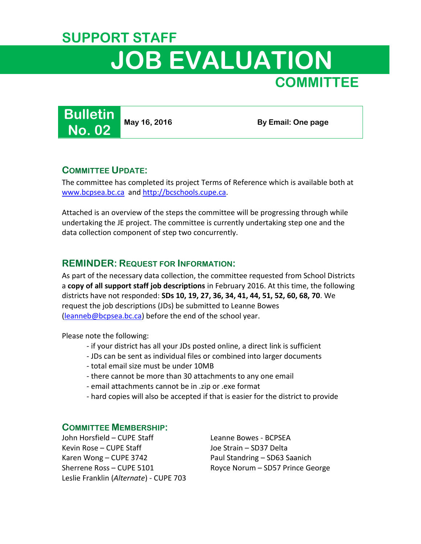## **SUPPORT STAFF JOB EVALUATION COMMITTEE**

**Bulletin No. 02**

**May 16, 2016** By Email: One page

## **COMMITTEE UPDATE:**

The committee has completed its project Terms of Reference which is available both at [www.bcpsea.bc.ca](http://www.bcpsea.bc.ca/bc-support-staff/collective-agreement-administration/job-evaluation-committee.aspx) an[d http://bcschools.cupe.ca.](http://bcschools.cupe.ca/www/news/k-12-provincial-job-evaluation-program)

Attached is an overview of the steps the committee will be progressing through while undertaking the JE project. The committee is currently undertaking step one and the data collection component of step two concurrently.

## **REMINDER: REQUEST FOR INFORMATION:**

As part of the necessary data collection, the committee requested from School Districts a **copy of all support staff job descriptions** in February 2016. At this time, the following districts have not responded: **SDs 10, 19, 27, 36, 34, 41, 44, 51, 52, 60, 68, 70**. We request the job descriptions (JDs) be submitted to Leanne Bowes [\(leanneb@bcpsea.bc.ca\)](mailto:leanneb@bcpsea.bc.ca) before the end of the school year.

Please note the following:

- if your district has all your JDs posted online, a direct link is sufficient
- JDs can be sent as individual files or combined into larger documents
- total email size must be under 10MB
- there cannot be more than 30 attachments to any one email
- email attachments cannot be in .zip or .exe format
- hard copies will also be accepted if that is easier for the district to provide

## **COMMITTEE MEMBERSHIP:**

John Horsfield – CUPE Staff Leanne Bowes - BCPSEA Kevin Rose – CUPE Staff Joe Strain – SD37 Delta Karen Wong – CUPE 3742 Paul Standring – SD63 Saanich Sherrene Ross – CUPE 5101 Royce Norum – SD57 Prince George Leslie Franklin (*Alternate*) - CUPE 703